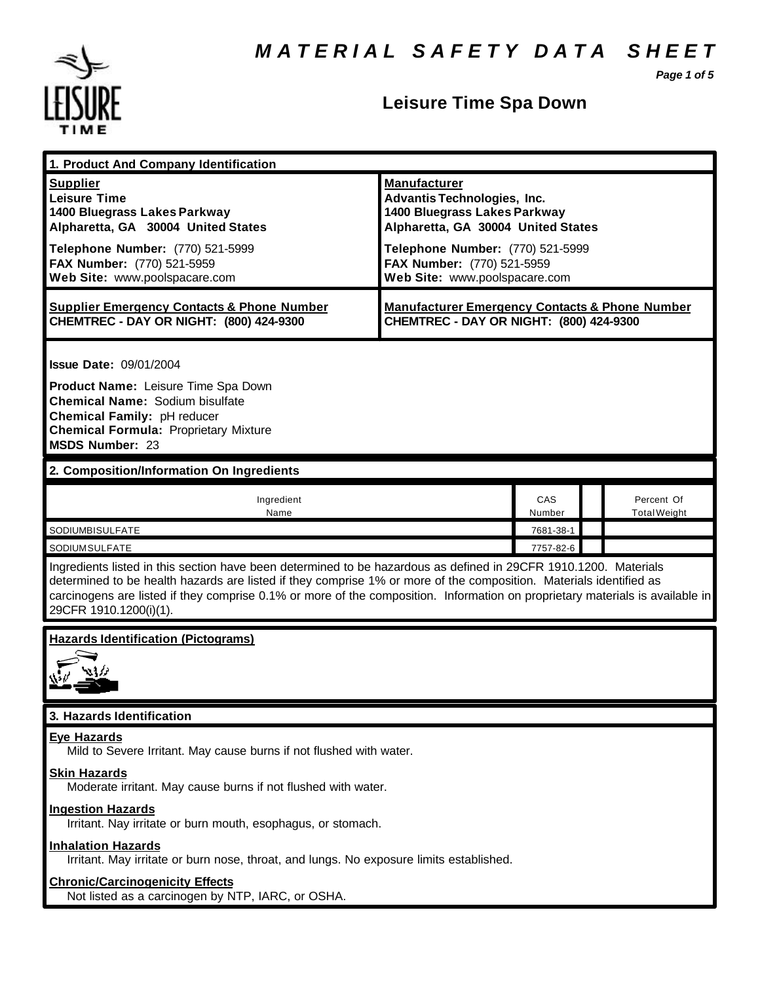*Page 1 of 5*



| 1. Product And Company Identification                                                                                                                                                                                                                                                                                                                                                             |                                                                                                                                 |               |  |                                   |  |
|---------------------------------------------------------------------------------------------------------------------------------------------------------------------------------------------------------------------------------------------------------------------------------------------------------------------------------------------------------------------------------------------------|---------------------------------------------------------------------------------------------------------------------------------|---------------|--|-----------------------------------|--|
| <b>Supplier</b><br><b>Leisure Time</b><br>1400 Bluegrass Lakes Parkway<br>Alpharetta, GA 30004 United States                                                                                                                                                                                                                                                                                      | <b>Manufacturer</b><br><b>Advantis Technologies, Inc.</b><br>1400 Bluegrass Lakes Parkway<br>Alpharetta, GA 30004 United States |               |  |                                   |  |
| Telephone Number: (770) 521-5999<br>FAX Number: (770) 521-5959<br>Web Site: www.poolspacare.com                                                                                                                                                                                                                                                                                                   | Telephone Number: (770) 521-5999<br>FAX Number: (770) 521-5959<br>Web Site: www.poolspacare.com                                 |               |  |                                   |  |
| <b>Supplier Emergency Contacts &amp; Phone Number</b><br>CHEMTREC - DAY OR NIGHT: (800) 424-9300                                                                                                                                                                                                                                                                                                  | <b>Manufacturer Emergency Contacts &amp; Phone Number</b><br>CHEMTREC - DAY OR NIGHT: (800) 424-9300                            |               |  |                                   |  |
| <b>Issue Date: 09/01/2004</b>                                                                                                                                                                                                                                                                                                                                                                     |                                                                                                                                 |               |  |                                   |  |
| Product Name: Leisure Time Spa Down<br>Chemical Name: Sodium bisulfate<br>Chemical Family: pH reducer<br><b>Chemical Formula: Proprietary Mixture</b><br>MSDS Number: 23                                                                                                                                                                                                                          |                                                                                                                                 |               |  |                                   |  |
| 2. Composition/Information On Ingredients                                                                                                                                                                                                                                                                                                                                                         |                                                                                                                                 |               |  |                                   |  |
| Ingredient<br>Name                                                                                                                                                                                                                                                                                                                                                                                |                                                                                                                                 | CAS<br>Number |  | Percent Of<br><b>Total Weight</b> |  |
| SODIUMBISULFATE                                                                                                                                                                                                                                                                                                                                                                                   |                                                                                                                                 | 7681-38-1     |  |                                   |  |
| <b>SODIUMSULFATE</b>                                                                                                                                                                                                                                                                                                                                                                              |                                                                                                                                 | 7757-82-6     |  |                                   |  |
| Ingredients listed in this section have been determined to be hazardous as defined in 29CFR 1910.1200. Materials<br>determined to be health hazards are listed if they comprise 1% or more of the composition. Materials identified as<br>carcinogens are listed if they comprise 0.1% or more of the composition. Information on proprietary materials is available in<br>29CFR 1910.1200(i)(1). |                                                                                                                                 |               |  |                                   |  |
| <b>Hazards Identification (Pictograms)</b>                                                                                                                                                                                                                                                                                                                                                        |                                                                                                                                 |               |  |                                   |  |
| 3. Hazards Identification                                                                                                                                                                                                                                                                                                                                                                         |                                                                                                                                 |               |  |                                   |  |
| <b>Eye Hazards</b><br>Mild to Severe Irritant. May cause burns if not flushed with water.                                                                                                                                                                                                                                                                                                         |                                                                                                                                 |               |  |                                   |  |
| <b>Skin Hazards</b><br>Moderate irritant. May cause burns if not flushed with water.                                                                                                                                                                                                                                                                                                              |                                                                                                                                 |               |  |                                   |  |
| <b>Ingestion Hazards</b><br>Irritant. Nay irritate or burn mouth, esophagus, or stomach.                                                                                                                                                                                                                                                                                                          |                                                                                                                                 |               |  |                                   |  |
| <b>Inhalation Hazards</b><br>Irritant. May irritate or burn nose, throat, and lungs. No exposure limits established.                                                                                                                                                                                                                                                                              |                                                                                                                                 |               |  |                                   |  |
| <b>Chronic/Carcinogenicity Effects</b><br>Not listed as a carcinogen by NTP, IARC, or OSHA.                                                                                                                                                                                                                                                                                                       |                                                                                                                                 |               |  |                                   |  |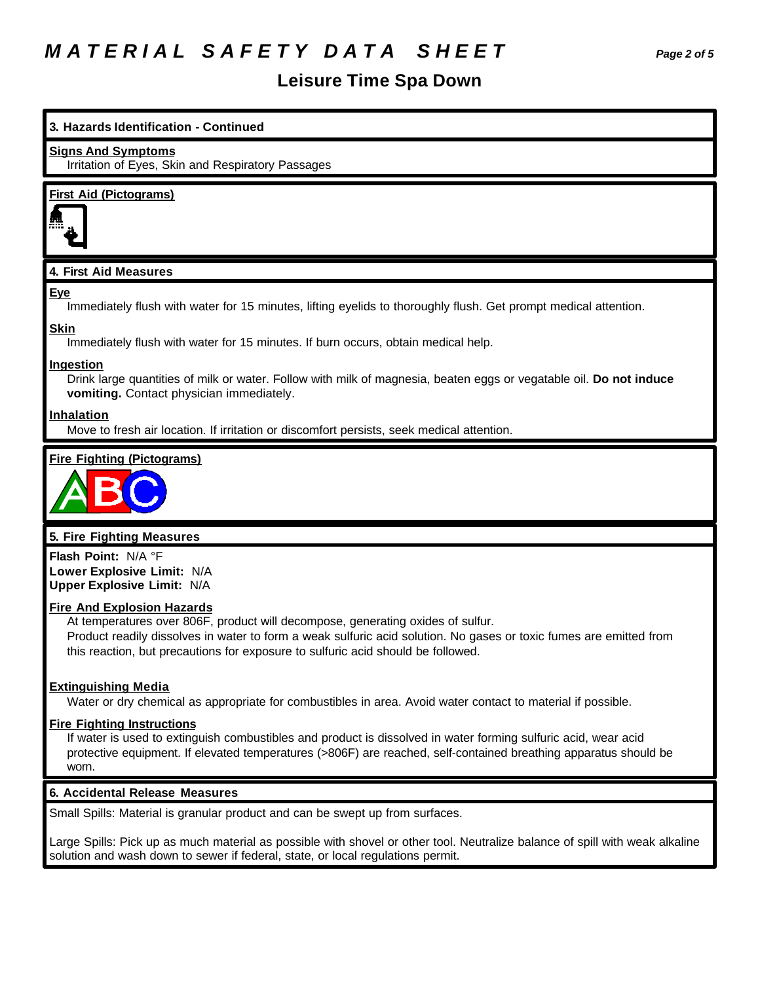### *M A T E R I A L S A F E T Y D A T A S H E E T Page 2 of 5*

### **Leisure Time Spa Down**

# **3. Hazards Identification - Continued Signs And Symptoms** Irritation of Eyes, Skin and Respiratory Passages **First Aid (Pictograms)**

#### **4. First Aid Measures**

#### **Eye**

Immediately flush with water for 15 minutes, lifting eyelids to thoroughly flush. Get prompt medical attention.

#### **Skin**

Immediately flush with water for 15 minutes. If burn occurs, obtain medical help.

#### **Ingestion**

Drink large quantities of milk or water. Follow with milk of magnesia, beaten eggs or vegatable oil. **Do not induce vomiting.** Contact physician immediately.

#### **Inhalation**

Move to fresh air location. If irritation or discomfort persists, seek medical attention.

#### **Fire Fighting (Pictograms)**



#### **5. Fire Fighting Measures**

**Flash Point:** N/A °F **Lower Explosive Limit:** N/A **Upper Explosive Limit:** N/A

#### **Fire And Explosion Hazards**

At temperatures over 806F, product will decompose, generating oxides of sulfur. Product readily dissolves in water to form a weak sulfuric acid solution. No gases or toxic fumes are emitted from this reaction, but precautions for exposure to sulfuric acid should be followed.

#### **Extinguishing Media**

Water or dry chemical as appropriate for combustibles in area. Avoid water contact to material if possible.

#### **Fire Fighting Instructions**

If water is used to extinguish combustibles and product is dissolved in water forming sulfuric acid, wear acid protective equipment. If elevated temperatures (>806F) are reached, self-contained breathing apparatus should be worn.

#### **6. Accidental Release Measures**

Small Spills: Material is granular product and can be swept up from surfaces.

Large Spills: Pick up as much material as possible with shovel or other tool. Neutralize balance of spill with weak alkaline solution and wash down to sewer if federal, state, or local regulations permit.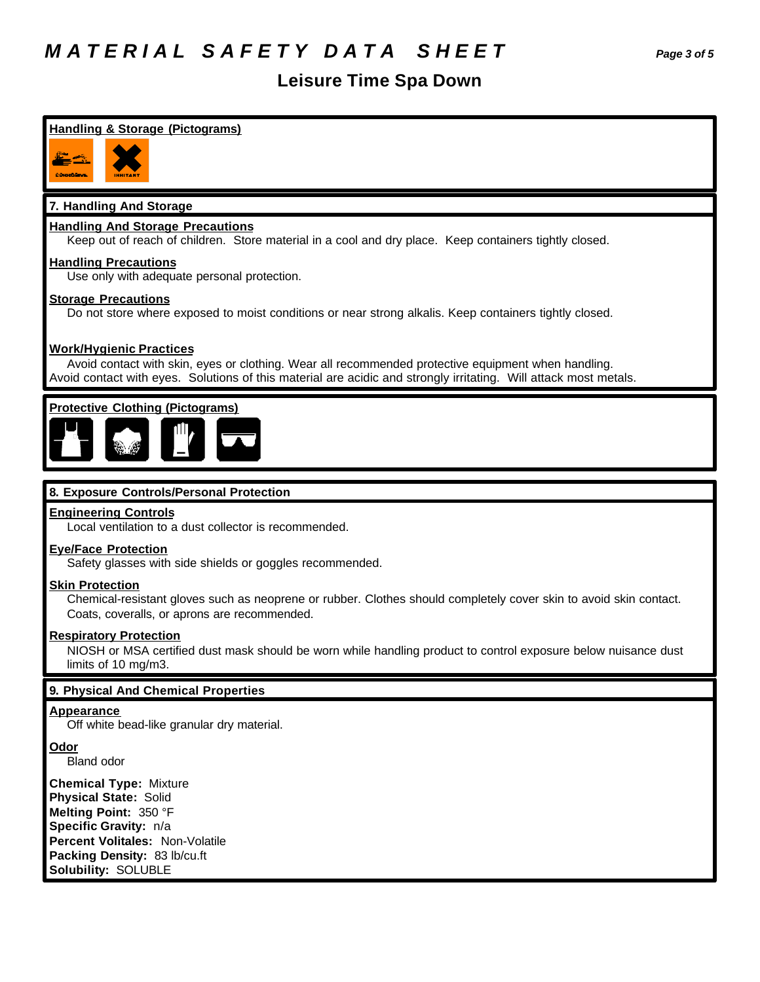### *M A T E R I A L S A F E T Y D A T A S H E E T Page 3 of 5*

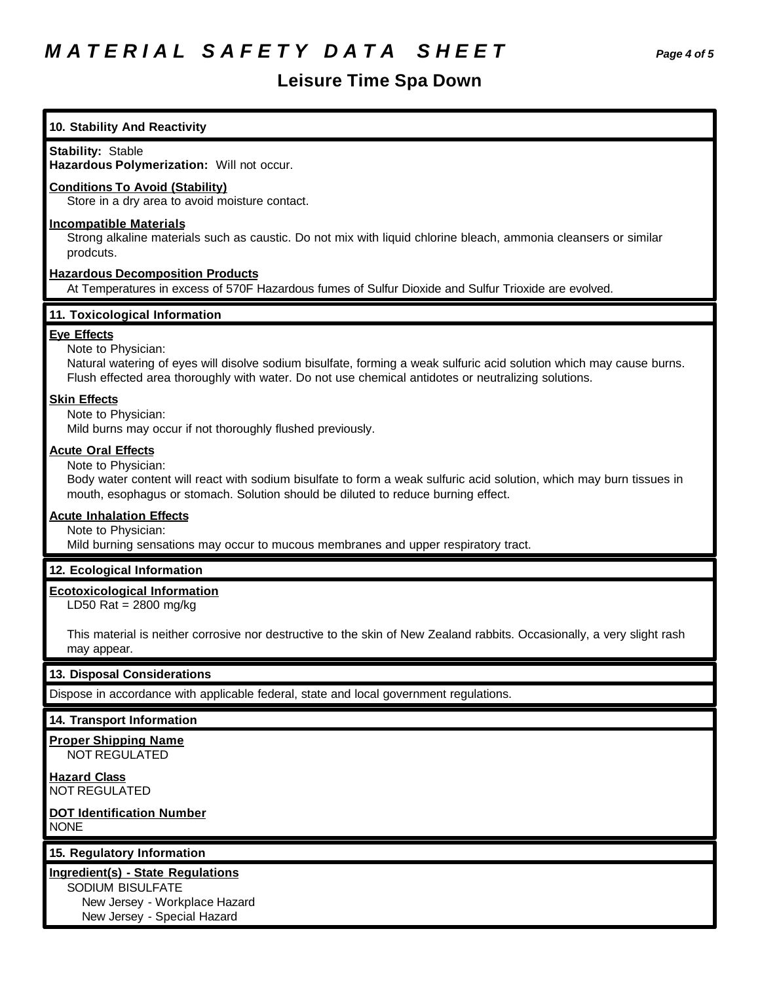| 10. Stability And Reactivity                                                                                                                                                                                                                                            |  |  |  |  |
|-------------------------------------------------------------------------------------------------------------------------------------------------------------------------------------------------------------------------------------------------------------------------|--|--|--|--|
| <b>Stability: Stable</b><br>Hazardous Polymerization: Will not occur.                                                                                                                                                                                                   |  |  |  |  |
| <b>Conditions To Avoid (Stability)</b><br>Store in a dry area to avoid moisture contact.                                                                                                                                                                                |  |  |  |  |
| <b>Incompatible Materials</b><br>Strong alkaline materials such as caustic. Do not mix with liquid chlorine bleach, ammonia cleansers or similar<br>prodcuts.                                                                                                           |  |  |  |  |
| <b>Hazardous Decomposition Products</b><br>At Temperatures in excess of 570F Hazardous fumes of Sulfur Dioxide and Sulfur Trioxide are evolved.                                                                                                                         |  |  |  |  |
| 11. Toxicological Information                                                                                                                                                                                                                                           |  |  |  |  |
| <b>Eye Effects</b><br>Note to Physician:<br>Natural watering of eyes will disolve sodium bisulfate, forming a weak sulfuric acid solution which may cause burns.<br>Flush effected area thoroughly with water. Do not use chemical antidotes or neutralizing solutions. |  |  |  |  |
| <b>Skin Effects</b><br>Note to Physician:<br>Mild burns may occur if not thoroughly flushed previously.                                                                                                                                                                 |  |  |  |  |
| <b>Acute Oral Effects</b><br>Note to Physician:<br>Body water content will react with sodium bisulfate to form a weak sulfuric acid solution, which may burn tissues in<br>mouth, esophagus or stomach. Solution should be diluted to reduce burning effect.            |  |  |  |  |
| <b>Acute Inhalation Effects</b><br>Note to Physician:<br>Mild burning sensations may occur to mucous membranes and upper respiratory tract.                                                                                                                             |  |  |  |  |
| 12. Ecological Information                                                                                                                                                                                                                                              |  |  |  |  |
| <b>Ecotoxicological Information</b><br>LD50 Rat = $2800$ mg/kg                                                                                                                                                                                                          |  |  |  |  |
| This material is neither corrosive nor destructive to the skin of New Zealand rabbits. Occasionally, a very slight rash<br>may appear.                                                                                                                                  |  |  |  |  |
| 13. Disposal Considerations                                                                                                                                                                                                                                             |  |  |  |  |
| Dispose in accordance with applicable federal, state and local government regulations.                                                                                                                                                                                  |  |  |  |  |
| 14. Transport Information                                                                                                                                                                                                                                               |  |  |  |  |
| <b>Proper Shipping Name</b><br>NOT REGULATED                                                                                                                                                                                                                            |  |  |  |  |
| <b>Hazard Class</b><br><b>NOT REGULATED</b>                                                                                                                                                                                                                             |  |  |  |  |
| <b>DOT Identification Number</b><br><b>NONE</b>                                                                                                                                                                                                                         |  |  |  |  |
| 15. Regulatory Information                                                                                                                                                                                                                                              |  |  |  |  |
| <b>Ingredient(s) - State Regulations</b><br>SODIUM BISULFATE<br>New Jersey - Workplace Hazard<br>New Jersey - Special Hazard                                                                                                                                            |  |  |  |  |